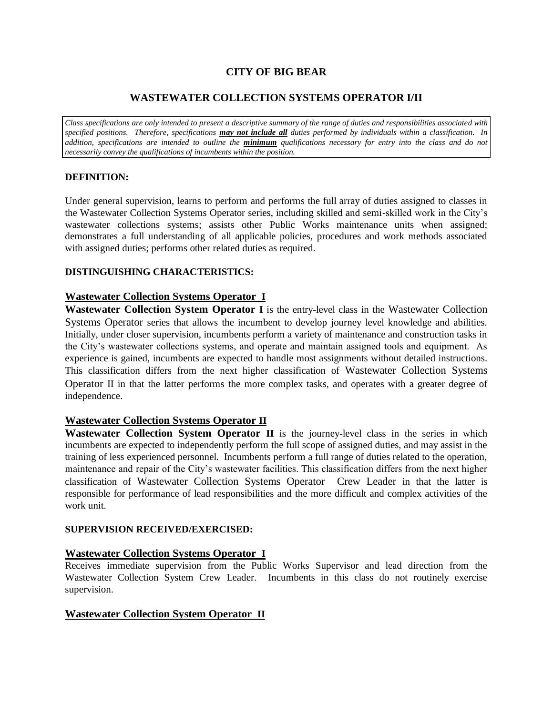# **CITY OF BIG BEAR**

# **WASTEWATER COLLECTION SYSTEMS OPERATOR I/II**

*Class specifications are only intended to present a descriptive summary of the range of duties and responsibilities associated with specified positions. Therefore, specifications may not include all duties performed by individuals within a classification. In addition, specifications are intended to outline the minimum qualifications necessary for entry into the class and do not necessarily convey the qualifications of incumbents within the position.*

## **DEFINITION:**

Under general supervision, learns to perform and performs the full array of duties assigned to classes in the Wastewater Collection Systems Operator series, including skilled and semi-skilled work in the City's wastewater collections systems; assists other Public Works maintenance units when assigned; demonstrates a full understanding of all applicable policies, procedures and work methods associated with assigned duties; performs other related duties as required.

## **DISTINGUISHING CHARACTERISTICS:**

# **Wastewater Collection Systems Operator I**

**Wastewater Collection System Operator I** is the entry-level class in the Wastewater Collection Systems Operator series that allows the incumbent to develop journey level knowledge and abilities. Initially, under closer supervision, incumbents perform a variety of maintenance and construction tasks in the City's wastewater collections systems, and operate and maintain assigned tools and equipment. As experience is gained, incumbents are expected to handle most assignments without detailed instructions. This classification differs from the next higher classification of Wastewater Collection Systems Operator II in that the latter performs the more complex tasks, and operates with a greater degree of independence.

# **Wastewater Collection Systems Operator II**

**Wastewater Collection System Operator II** is the journey-level class in the series in which incumbents are expected to independently perform the full scope of assigned duties, and may assist in the training of less experienced personnel. Incumbents perform a full range of duties related to the operation, maintenance and repair of the City's wastewater facilities. This classification differs from the next higher classification of Wastewater Collection Systems Operator Crew Leader in that the latter is responsible for performance of lead responsibilities and the more difficult and complex activities of the work unit.

## **SUPERVISION RECEIVED/EXERCISED:**

# **Wastewater Collection Systems Operator I**

Receives immediate supervision from the Public Works Supervisor and lead direction from the Wastewater Collection System Crew Leader. Incumbents in this class do not routinely exercise supervision.

# **Wastewater Collection System Operator II**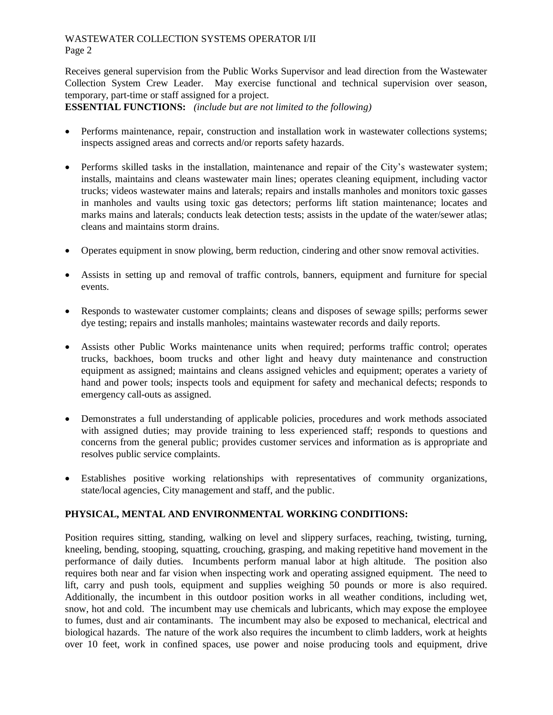Receives general supervision from the Public Works Supervisor and lead direction from the Wastewater Collection System Crew Leader. May exercise functional and technical supervision over season, temporary, part-time or staff assigned for a project.

**ESSENTIAL FUNCTIONS:** *(include but are not limited to the following)*

- Performs maintenance, repair, construction and installation work in wastewater collections systems; inspects assigned areas and corrects and/or reports safety hazards.
- Performs skilled tasks in the installation, maintenance and repair of the City's wastewater system; installs, maintains and cleans wastewater main lines; operates cleaning equipment, including vactor trucks; videos wastewater mains and laterals; repairs and installs manholes and monitors toxic gasses in manholes and vaults using toxic gas detectors; performs lift station maintenance; locates and marks mains and laterals; conducts leak detection tests; assists in the update of the water/sewer atlas; cleans and maintains storm drains.
- Operates equipment in snow plowing, berm reduction, cindering and other snow removal activities.
- Assists in setting up and removal of traffic controls, banners, equipment and furniture for special events.
- Responds to wastewater customer complaints; cleans and disposes of sewage spills; performs sewer dye testing; repairs and installs manholes; maintains wastewater records and daily reports.
- Assists other Public Works maintenance units when required; performs traffic control; operates trucks, backhoes, boom trucks and other light and heavy duty maintenance and construction equipment as assigned; maintains and cleans assigned vehicles and equipment; operates a variety of hand and power tools; inspects tools and equipment for safety and mechanical defects; responds to emergency call-outs as assigned.
- Demonstrates a full understanding of applicable policies, procedures and work methods associated with assigned duties; may provide training to less experienced staff; responds to questions and concerns from the general public; provides customer services and information as is appropriate and resolves public service complaints.
- Establishes positive working relationships with representatives of community organizations, state/local agencies, City management and staff, and the public.

# **PHYSICAL, MENTAL AND ENVIRONMENTAL WORKING CONDITIONS:**

Position requires sitting, standing, walking on level and slippery surfaces, reaching, twisting, turning, kneeling, bending, stooping, squatting, crouching, grasping, and making repetitive hand movement in the performance of daily duties. Incumbents perform manual labor at high altitude. The position also requires both near and far vision when inspecting work and operating assigned equipment. The need to lift, carry and push tools, equipment and supplies weighing 50 pounds or more is also required. Additionally, the incumbent in this outdoor position works in all weather conditions, including wet, snow, hot and cold. The incumbent may use chemicals and lubricants, which may expose the employee to fumes, dust and air contaminants. The incumbent may also be exposed to mechanical, electrical and biological hazards. The nature of the work also requires the incumbent to climb ladders, work at heights over 10 feet, work in confined spaces, use power and noise producing tools and equipment, drive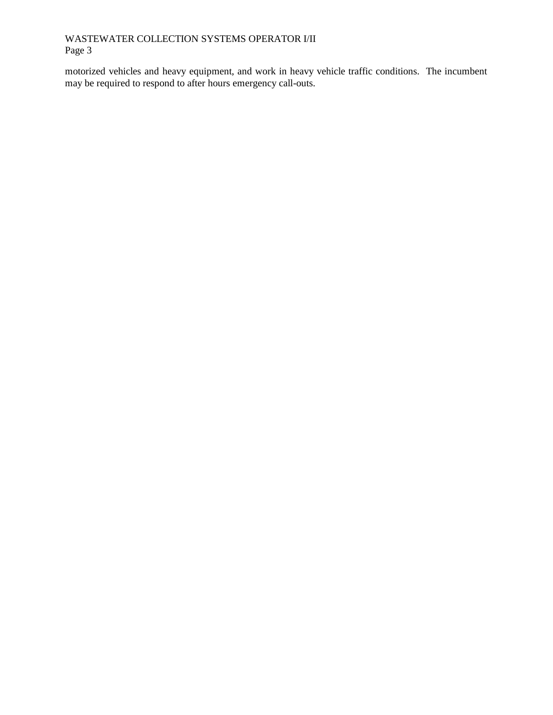motorized vehicles and heavy equipment, and work in heavy vehicle traffic conditions. The incumbent may be required to respond to after hours emergency call-outs.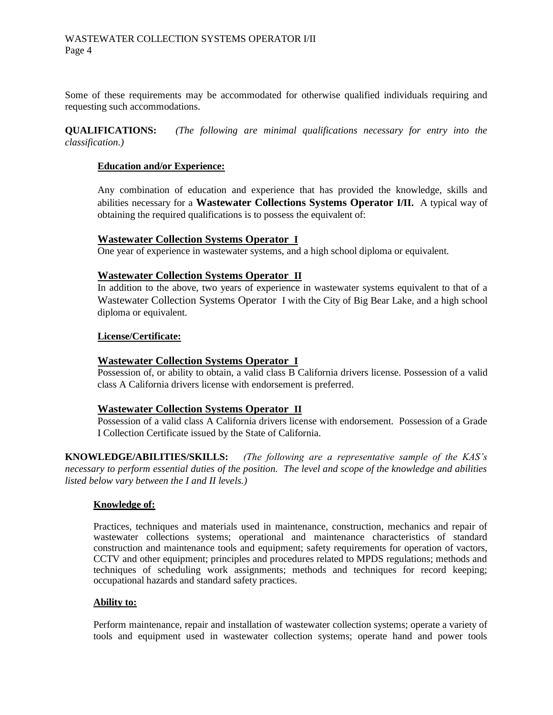Some of these requirements may be accommodated for otherwise qualified individuals requiring and requesting such accommodations.

**QUALIFICATIONS:** *(The following are minimal qualifications necessary for entry into the classification.)*

### **Education and/or Experience:**

Any combination of education and experience that has provided the knowledge, skills and abilities necessary for a **Wastewater Collections Systems Operator I/II.** A typical way of obtaining the required qualifications is to possess the equivalent of:

### **Wastewater Collection Systems Operator I**

One year of experience in wastewater systems, and a high school diploma or equivalent.

### **Wastewater Collection Systems Operator II**

In addition to the above, two years of experience in wastewater systems equivalent to that of a Wastewater Collection Systems Operator I with the City of Big Bear Lake, and a high school diploma or equivalent.

### **License/Certificate:**

## **Wastewater Collection Systems Operator I**

Possession of, or ability to obtain, a valid class B California drivers license. Possession of a valid class A California drivers license with endorsement is preferred.

#### **Wastewater Collection Systems Operator II**

Possession of a valid class A California drivers license with endorsement. Possession of a Grade I Collection Certificate issued by the State of California.

**KNOWLEDGE/ABILITIES/SKILLS:** *(The following are a representative sample of the KAS's necessary to perform essential duties of the position. The level and scope of the knowledge and abilities listed below vary between the I and II levels.)* 

#### **Knowledge of:**

Practices, techniques and materials used in maintenance, construction, mechanics and repair of wastewater collections systems; operational and maintenance characteristics of standard construction and maintenance tools and equipment; safety requirements for operation of vactors, CCTV and other equipment; principles and procedures related to MPDS regulations; methods and techniques of scheduling work assignments; methods and techniques for record keeping; occupational hazards and standard safety practices.

#### **Ability to:**

Perform maintenance, repair and installation of wastewater collection systems; operate a variety of tools and equipment used in wastewater collection systems; operate hand and power tools